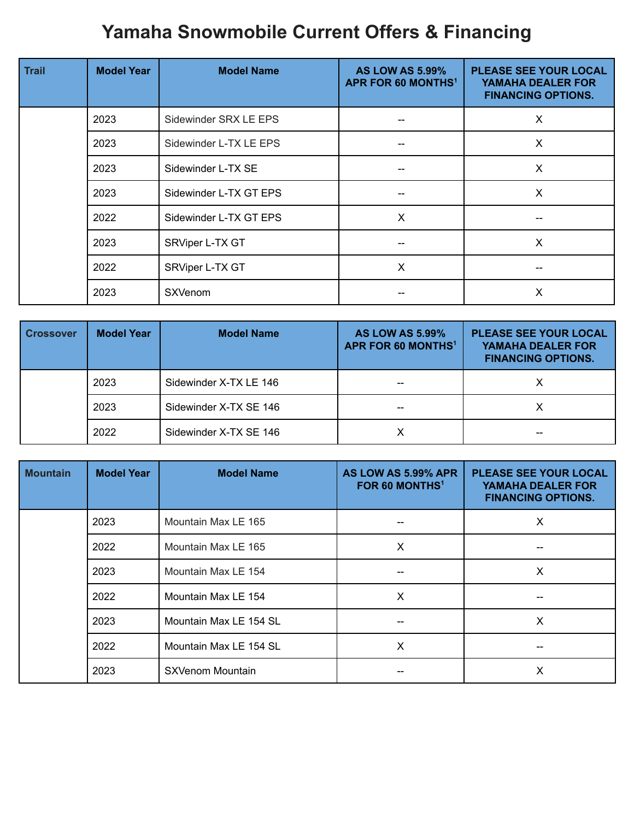## **Yamaha Snowmobile Current Offers & Financing**

| <b>Trail</b> | <b>Model Year</b> | <b>Model Name</b>      | <b>AS LOW AS 5.99%</b><br>APR FOR 60 MONTHS <sup>1</sup> | <b>PLEASE SEE YOUR LOCAL</b><br><b>YAMAHA DEALER FOR</b><br><b>FINANCING OPTIONS.</b> |
|--------------|-------------------|------------------------|----------------------------------------------------------|---------------------------------------------------------------------------------------|
|              | 2023              | Sidewinder SRX LE EPS  |                                                          | X                                                                                     |
|              | 2023              | Sidewinder L-TX LE EPS |                                                          | X                                                                                     |
|              | 2023              | Sidewinder L-TX SE     |                                                          | X                                                                                     |
|              | 2023              | Sidewinder L-TX GT EPS |                                                          | X                                                                                     |
|              | 2022              | Sidewinder L-TX GT EPS | X                                                        |                                                                                       |
|              | 2023              | SRViper L-TX GT        |                                                          | X                                                                                     |
|              | 2022              | SRViper L-TX GT        | X                                                        |                                                                                       |
|              | 2023              | <b>SXVenom</b>         |                                                          | X                                                                                     |

| <b>Crossover</b> | <b>Model Year</b> | <b>Model Name</b>      | <b>AS LOW AS 5.99%</b><br>APR FOR 60 MONTHS <sup>1</sup> | <b>PLEASE SEE YOUR LOCAL</b><br>YAMAHA DEALER FOR<br><b>FINANCING OPTIONS.</b> |
|------------------|-------------------|------------------------|----------------------------------------------------------|--------------------------------------------------------------------------------|
|                  | 2023              | Sidewinder X-TX LE 146 |                                                          |                                                                                |
|                  | 2023              | Sidewinder X-TX SE 146 |                                                          |                                                                                |
|                  | 2022              | Sidewinder X-TX SE 146 |                                                          |                                                                                |

| <b>Mountain</b> | <b>Model Year</b> | <b>Model Name</b>      | AS LOW AS 5.99% APR<br>FOR 60 MONTHS <sup>1</sup> | <b>PLEASE SEE YOUR LOCAL</b><br><b>YAMAHA DEALER FOR</b><br><b>FINANCING OPTIONS.</b> |
|-----------------|-------------------|------------------------|---------------------------------------------------|---------------------------------------------------------------------------------------|
|                 | 2023              | Mountain Max LE 165    |                                                   | X                                                                                     |
|                 | 2022              | Mountain Max LE 165    | $\boldsymbol{\mathsf{X}}$                         |                                                                                       |
|                 | 2023              | Mountain Max LE 154    |                                                   | X                                                                                     |
|                 | 2022              | Mountain Max LE 154    | X                                                 |                                                                                       |
|                 | 2023              | Mountain Max LE 154 SL |                                                   | X                                                                                     |
|                 | 2022              | Mountain Max LE 154 SL | X                                                 |                                                                                       |
|                 | 2023              | SXVenom Mountain       |                                                   | X                                                                                     |